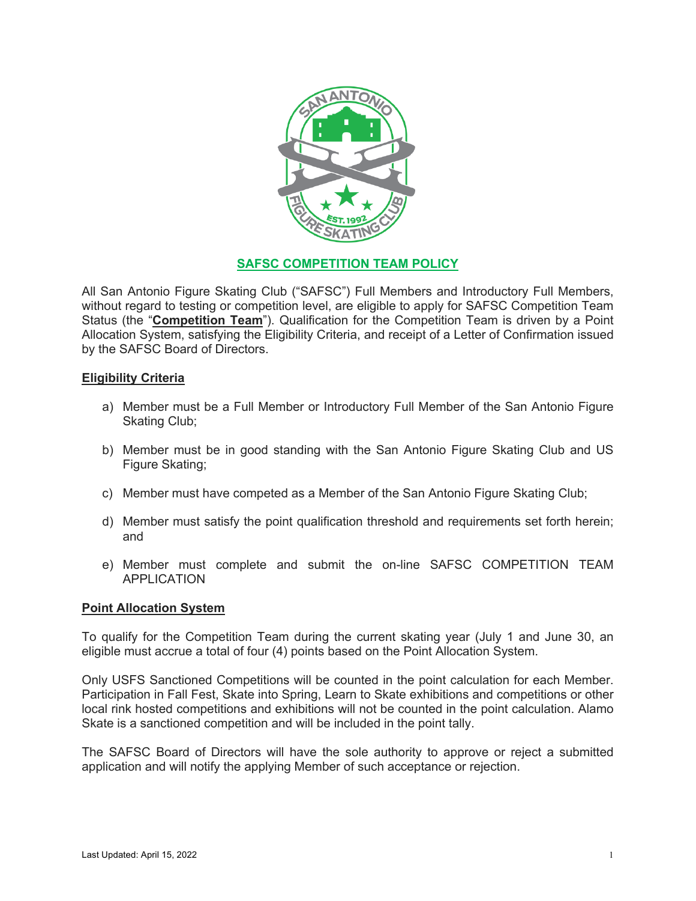

# **SAFSC COMPETITION TEAM POLICY**

All San Antonio Figure Skating Club ("SAFSC") Full Members and Introductory Full Members, without regard to testing or competition level, are eligible to apply for SAFSC Competition Team Status (the "**Competition Team**"). Qualification for the Competition Team is driven by a Point Allocation System, satisfying the Eligibility Criteria, and receipt of a Letter of Confirmation issued by the SAFSC Board of Directors.

## **Eligibility Criteria**

- a) Member must be a Full Member or Introductory Full Member of the San Antonio Figure Skating Club;
- b) Member must be in good standing with the San Antonio Figure Skating Club and US Figure Skating;
- c) Member must have competed as a Member of the San Antonio Figure Skating Club;
- d) Member must satisfy the point qualification threshold and requirements set forth herein; and
- e) Member must complete and submit the on-line SAFSC COMPETITION TEAM APPLICATION

### **Point Allocation System**

To qualify for the Competition Team during the current skating year (July 1 and June 30, an eligible must accrue a total of four (4) points based on the Point Allocation System.

Only USFS Sanctioned Competitions will be counted in the point calculation for each Member. Participation in Fall Fest, Skate into Spring, Learn to Skate exhibitions and competitions or other local rink hosted competitions and exhibitions will not be counted in the point calculation. Alamo Skate is a sanctioned competition and will be included in the point tally.

The SAFSC Board of Directors will have the sole authority to approve or reject a submitted application and will notify the applying Member of such acceptance or rejection.